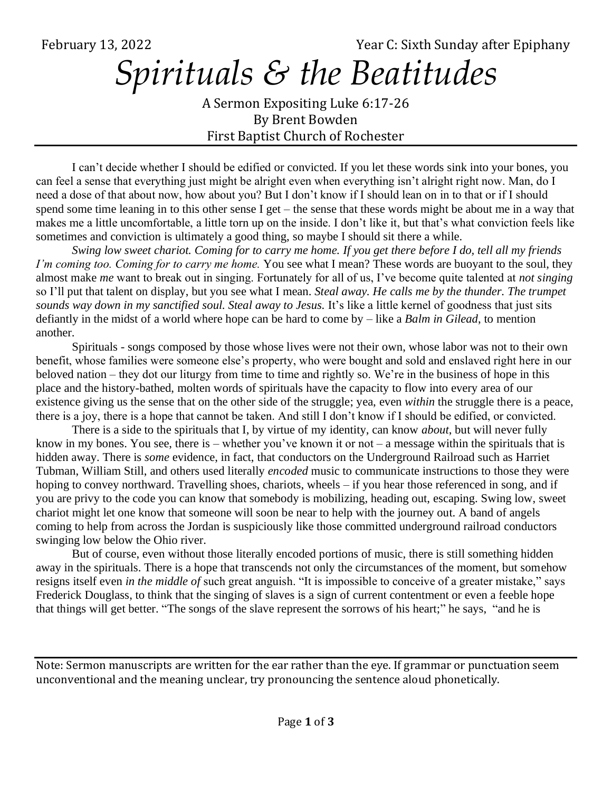February 13, 2022 Year C: Sixth Sunday after Epiphany

## *Spirituals & the Beatitudes*

A Sermon Expositing Luke 6:17-26 By Brent Bowden First Baptist Church of Rochester

I can't decide whether I should be edified or convicted. If you let these words sink into your bones, you can feel a sense that everything just might be alright even when everything isn't alright right now. Man, do I need a dose of that about now, how about you? But I don't know if I should lean on in to that or if I should spend some time leaning in to this other sense I get – the sense that these words might be about me in a way that makes me a little uncomfortable, a little torn up on the inside. I don't like it, but that's what conviction feels like sometimes and conviction is ultimately a good thing, so maybe I should sit there a while.

*Swing low sweet chariot. Coming for to carry me home. If you get there before I do, tell all my friends I'm coming too. Coming for to carry me home.* You see what I mean? These words are buoyant to the soul, they almost make *me* want to break out in singing. Fortunately for all of us, I've become quite talented at *not singing* so I'll put that talent on display, but you see what I mean. *Steal away. He calls me by the thunder. The trumpet*  sounds way down in my sanctified soul. Steal away to Jesus. It's like a little kernel of goodness that just sits defiantly in the midst of a world where hope can be hard to come by – like a *Balm in Gilead*, to mention another.

Spirituals - songs composed by those whose lives were not their own, whose labor was not to their own benefit, whose families were someone else's property, who were bought and sold and enslaved right here in our beloved nation – they dot our liturgy from time to time and rightly so. We're in the business of hope in this place and the history-bathed, molten words of spirituals have the capacity to flow into every area of our existence giving us the sense that on the other side of the struggle; yea, even *within* the struggle there is a peace, there is a joy, there is a hope that cannot be taken. And still I don't know if I should be edified, or convicted.

There is a side to the spirituals that I, by virtue of my identity, can know *about*, but will never fully know in my bones. You see, there is – whether you've known it or not – a message within the spirituals that is hidden away. There is *some* evidence, in fact, that conductors on the Underground Railroad such as Harriet Tubman, William Still, and others used literally *encoded* music to communicate instructions to those they were hoping to convey northward. Travelling shoes, chariots, wheels – if you hear those referenced in song, and if you are privy to the code you can know that somebody is mobilizing, heading out, escaping. Swing low, sweet chariot might let one know that someone will soon be near to help with the journey out. A band of angels coming to help from across the Jordan is suspiciously like those committed underground railroad conductors swinging low below the Ohio river.

But of course, even without those literally encoded portions of music, there is still something hidden away in the spirituals. There is a hope that transcends not only the circumstances of the moment, but somehow resigns itself even *in the middle of* such great anguish. "It is impossible to conceive of a greater mistake," says Frederick Douglass, to think that the singing of slaves is a sign of current contentment or even a feeble hope that things will get better. "The songs of the slave represent the sorrows of his heart;" he says, "and he is

Note: Sermon manuscripts are written for the ear rather than the eye. If grammar or punctuation seem unconventional and the meaning unclear, try pronouncing the sentence aloud phonetically.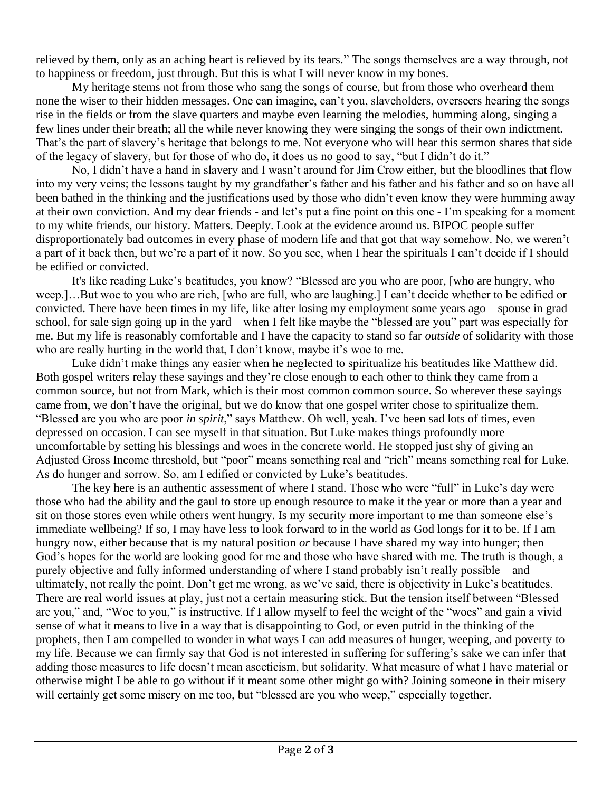relieved by them, only as an aching heart is relieved by its tears." The songs themselves are a way through, not to happiness or freedom, just through. But this is what I will never know in my bones.

My heritage stems not from those who sang the songs of course, but from those who overheard them none the wiser to their hidden messages. One can imagine, can't you, slaveholders, overseers hearing the songs rise in the fields or from the slave quarters and maybe even learning the melodies, humming along, singing a few lines under their breath; all the while never knowing they were singing the songs of their own indictment. That's the part of slavery's heritage that belongs to me. Not everyone who will hear this sermon shares that side of the legacy of slavery, but for those of who do, it does us no good to say, "but I didn't do it."

No, I didn't have a hand in slavery and I wasn't around for Jim Crow either, but the bloodlines that flow into my very veins; the lessons taught by my grandfather's father and his father and his father and so on have all been bathed in the thinking and the justifications used by those who didn't even know they were humming away at their own conviction. And my dear friends - and let's put a fine point on this one - I'm speaking for a moment to my white friends, our history. Matters. Deeply. Look at the evidence around us. BIPOC people suffer disproportionately bad outcomes in every phase of modern life and that got that way somehow. No, we weren't a part of it back then, but we're a part of it now. So you see, when I hear the spirituals I can't decide if I should be edified or convicted.

It's like reading Luke's beatitudes, you know? "Blessed are you who are poor, [who are hungry, who weep.]…But woe to you who are rich, [who are full, who are laughing.] I can't decide whether to be edified or convicted. There have been times in my life, like after losing my employment some years ago – spouse in grad school, for sale sign going up in the yard – when I felt like maybe the "blessed are you" part was especially for me. But my life is reasonably comfortable and I have the capacity to stand so far *outside* of solidarity with those who are really hurting in the world that, I don't know, maybe it's woe to me.

Luke didn't make things any easier when he neglected to spiritualize his beatitudes like Matthew did. Both gospel writers relay these sayings and they're close enough to each other to think they came from a common source, but not from Mark, which is their most common common source. So wherever these sayings came from, we don't have the original, but we do know that one gospel writer chose to spiritualize them. "Blessed are you who are poor *in spirit*," says Matthew. Oh well, yeah. I've been sad lots of times, even depressed on occasion. I can see myself in that situation. But Luke makes things profoundly more uncomfortable by setting his blessings and woes in the concrete world. He stopped just shy of giving an Adjusted Gross Income threshold, but "poor" means something real and "rich" means something real for Luke. As do hunger and sorrow. So, am I edified or convicted by Luke's beatitudes.

The key here is an authentic assessment of where I stand. Those who were "full" in Luke's day were those who had the ability and the gaul to store up enough resource to make it the year or more than a year and sit on those stores even while others went hungry. Is my security more important to me than someone else's immediate wellbeing? If so, I may have less to look forward to in the world as God longs for it to be. If I am hungry now, either because that is my natural position *or* because I have shared my way into hunger; then God's hopes for the world are looking good for me and those who have shared with me. The truth is though, a purely objective and fully informed understanding of where I stand probably isn't really possible – and ultimately, not really the point. Don't get me wrong, as we've said, there is objectivity in Luke's beatitudes. There are real world issues at play, just not a certain measuring stick. But the tension itself between "Blessed are you," and, "Woe to you," is instructive. If I allow myself to feel the weight of the "woes" and gain a vivid sense of what it means to live in a way that is disappointing to God, or even putrid in the thinking of the prophets, then I am compelled to wonder in what ways I can add measures of hunger, weeping, and poverty to my life. Because we can firmly say that God is not interested in suffering for suffering's sake we can infer that adding those measures to life doesn't mean asceticism, but solidarity. What measure of what I have material or otherwise might I be able to go without if it meant some other might go with? Joining someone in their misery will certainly get some misery on me too, but "blessed are you who weep," especially together.